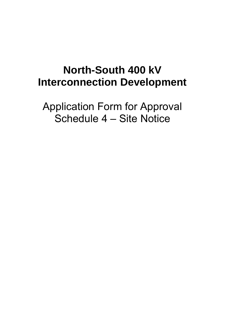# **North-South 400 kV Interconnection Development**

Application Form for Approval Schedule 4 – Site Notice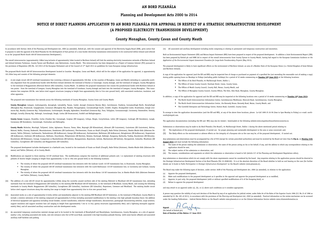mental Impact Statement (EIS) and Natura Impact Statement (NIS) have been prepared in respect of the proposed development. In addition a Joint Environmental Report (JER) ed by EirGrid plc and SONI Ltd in respect of the overall interconnector from County Tyrone to County Meath, having had regard to the European Commission *Guidance on the Application of the Environmental Impact Assessment Procedure for Large-Scale Transboundary Projects* (May 2013).

velopment is likely to have significant effects on the environment of Northern Ireland, an area of a Member State of the European Union (i.e. United Kingdom of Great Britain eland).

oplication for approval (and the EIS and NIS) may be inspected free of charge or purchased on payment of a specified fee (not exceeding the reasonable cost of making a copy) bening hours on Mondays to Fridays (excluding public holidays) for a period of 10 weeks commencing on <mark>Tuesday 16<sup>th</sup> June 2015</mark> at the following locations:

Any submissions and observations must be accompanied by a fee of €50 (except for certain prescribed authorities) and must be received by the Board not later than **5.30p.m.** on **Monday 24th**  d must include the following information:

e of the person making the submission or observation, the name of the person acting on his or her behalf, if any, and the address to which any correspondence relating to the on should be sent,

ect matter of the submission or observation, and

ns, considerations and arguments on which the submission or observation is based in full (Article 217 of the Planning and Development Regulations refers).

s or observations which do not comply with the above requirements cannot be considered by the board. Any enquiries relating to the application process should be directed to frastructure Development Section of An Bord Pleanala (Tel: 01-8588100). It is at the absolute discretion of the Board whether to hold an oral hearing on the case (for further ide to Public Participation in Strategic Infrastructure Development' on the Board's website (www.pleanala.ie).

make the following types of decision, under section 182B of the Planning and Development Act, 2000 (as amended), in relation to the application:

the proposed development,

h modifications to the proposed development as it specifies in the approval and approve the proposed development as so modified,

in part only, the proposed development (with or without specified modifications of it of the foregoing kind), or

approve the proposed development

to an approval under (a), (b), or (c) above such conditions as it considers appropriate.

lestion the validity of any such decision of the Board by way of an application for judicial review, under Order 84 of the Rules of the Superior Courts 1986 (S.I. No.15 of 1986 as No. 691 of 2011), in accordance with the provisions of the Planning and Development Act, 2000 (as amended). Practical information on the review mechanism can be accessed ng Publications – Judicial Review Notice on the Board's website www.pleanala.ie or on the Citizens Information Service website www.citizensinformation.ie.

 $Signed:$   $\blacksquare$ 

| In accordance with Section 182A of the Planning and Development Act, 2000 (as amended), EirGrid plc, with the consent and approval of the Electricity Supply Board (ESB), gives notice that<br>it proposes to seek the approval of An Bord Pleanála for the development of that portion of a cross-border electricity transmission interconnector to be constructed within Ireland (and referred<br>to as the 'proposed North-South 400 kV Interconnection Development').                                                                                                                                                                                                                                                                                               |                                                                                                                                                                                                                                                                                                                                                                            | (vi)<br>All associated and<br>Both an Environmental II |
|-------------------------------------------------------------------------------------------------------------------------------------------------------------------------------------------------------------------------------------------------------------------------------------------------------------------------------------------------------------------------------------------------------------------------------------------------------------------------------------------------------------------------------------------------------------------------------------------------------------------------------------------------------------------------------------------------------------------------------------------------------------------------|----------------------------------------------------------------------------------------------------------------------------------------------------------------------------------------------------------------------------------------------------------------------------------------------------------------------------------------------------------------------------|--------------------------------------------------------|
|                                                                                                                                                                                                                                                                                                                                                                                                                                                                                                                                                                                                                                                                                                                                                                         |                                                                                                                                                                                                                                                                                                                                                                            |                                                        |
| The overall interconnector (approximately 138km long inclusive of approximately 34km located in Northern Ireland) will link the existing electricity transmission networks of Northern Ireland<br>and Ireland between Turleenan, County Tyrone and Woodland, near Batterstown, County Meath. This interconnector has been designated as a Project of Common Interest (PCI) pursuant to<br>the provisions of Regulation (EU) No. 347/2013 of the European Parliament and of the Council of 17 <sup>th</sup> April 2013 on guidelines for trans-European energy infrastructure.<br>The proposed North-South 400 kV Interconnection Development located in Counties Monaghan, Cavan and Meath, which will be the subject of the application for approval, is approximately |                                                                                                                                                                                                                                                                                                                                                                            | has been prepared by Eir<br>Application of the Enviror |
|                                                                                                                                                                                                                                                                                                                                                                                                                                                                                                                                                                                                                                                                                                                                                                         |                                                                                                                                                                                                                                                                                                                                                                            | The proposed developmer<br>and Northern Ireland).      |
|                                                                                                                                                                                                                                                                                                                                                                                                                                                                                                                                                                                                                                                                                                                                                                         |                                                                                                                                                                                                                                                                                                                                                                            |                                                        |
|                                                                                                                                                                                                                                                                                                                                                                                                                                                                                                                                                                                                                                                                                                                                                                         | 103.35km long and consists of the following principal elements:                                                                                                                                                                                                                                                                                                            | A copy of the application<br>during public opening ho  |
| (i)                                                                                                                                                                                                                                                                                                                                                                                                                                                                                                                                                                                                                                                                                                                                                                     | A new single circuit 400 kV overhead transmission line (covering a distance of approximately 100.5km in the counties of Monaghan, Cavan and Meath) extending in a generally south-                                                                                                                                                                                         | $\blacksquare$ The 0                                   |
|                                                                                                                                                                                                                                                                                                                                                                                                                                                                                                                                                                                                                                                                                                                                                                         | erly alignment from the jurisdictional border with Northern Ireland (between the townland of Doohat or Crossreagh, County Armagh, and the townland of Lemgare, County Monaghan)                                                                                                                                                                                            | The 0                                                  |
|                                                                                                                                                                                                                                                                                                                                                                                                                                                                                                                                                                                                                                                                                                                                                                         | to the townland of Bogganstown (Electoral District (ED) Culmullin), County Meath. In addition the proposed transmission line crosses the jurisdictional border with Northern Ireland at                                                                                                                                                                                    | The 0                                                  |
|                                                                                                                                                                                                                                                                                                                                                                                                                                                                                                                                                                                                                                                                                                                                                                         | two points - from the townland of Lemgare, County Monaghan into the townland of Crossbane, County Armagh and back into the townland of Lemgare, County Monaghan. This trans-<br>mission line comprises 299 No. new lattice steel support structures (ranging in height from approximately 26m to 51m over ground level), with associated conductors, insulators, and       | The 0                                                  |
|                                                                                                                                                                                                                                                                                                                                                                                                                                                                                                                                                                                                                                                                                                                                                                         | other apparatus.                                                                                                                                                                                                                                                                                                                                                           |                                                        |
|                                                                                                                                                                                                                                                                                                                                                                                                                                                                                                                                                                                                                                                                                                                                                                         |                                                                                                                                                                                                                                                                                                                                                                            | In addition, a copy of the                             |
|                                                                                                                                                                                                                                                                                                                                                                                                                                                                                                                                                                                                                                                                                                                                                                         | The proposed new transmission line extends across the following townlands of County Monaghan, County Cavan and County Meath:                                                                                                                                                                                                                                               | $\blacksquare$ The N                                   |
|                                                                                                                                                                                                                                                                                                                                                                                                                                                                                                                                                                                                                                                                                                                                                                         | County Monaghan: Lemgare, Lisdrumgormly, Annaglogh, Latnakelly, Tassan, Cashel, Annagh (Cremorne Barony (By)), Carrickanure, Clarderry, Cornamucklagh North, Derryhallagh                                                                                                                                                                                                  | The N                                                  |
|                                                                                                                                                                                                                                                                                                                                                                                                                                                                                                                                                                                                                                                                                                                                                                         | (Monaghan By), Drumroosk, Cargaghramer, Cornanure (Monaghan By), Rausker, Terrygreeghan, Cornamucklagh South, Crinkill, Clogher, Drumguillew Lower, Drumhawan, Greagh (Cre-                                                                                                                                                                                                | The C                                                  |
|                                                                                                                                                                                                                                                                                                                                                                                                                                                                                                                                                                                                                                                                                                                                                                         | morne By), Brackly (Cremorne By), Tullynahinnera, Cooltrimegish, Boraghy, Aghmakerr, Drumillard (Cremorne By), Tooa, Tullyglass, Cornasassonagh, Corrinenty, Ummerafree, Sreenty,<br>Ardragh, Corvally (Farney By), Raferagh, Cornalaragh, Doagh, Corlea (ED Drumcarrow), Scalkill and Ballaghnagearn.                                                                     | To arrange to view the ap                              |
|                                                                                                                                                                                                                                                                                                                                                                                                                                                                                                                                                                                                                                                                                                                                                                         |                                                                                                                                                                                                                                                                                                                                                                            | south@eirgrid.com.                                     |
|                                                                                                                                                                                                                                                                                                                                                                                                                                                                                                                                                                                                                                                                                                                                                                         | County Cavan: Lisagoan, Drumiller, Corlea (Clankee By), Cornamagh, Corglass (ED Lisagoan), Collops, Dingin, Corrycholman, Leiter (ED Lisagoan), Cordoagh (ED Enniskeen), Laragh,<br>Corraneary (ED Enniskeen), Carrowreagh, Clonturkan and Balloughly.                                                                                                                     | The application documen                                |
|                                                                                                                                                                                                                                                                                                                                                                                                                                                                                                                                                                                                                                                                                                                                                                         | County Meath: Boherlea, Moorlagh, Tullyweel, Lislea, Aghamore, Shancor, Towas, Eden, Boynagh (ED Kilmainham), Altmush (ED Cruicetown), Cruicetown (ED Cruicetown), Brittas,                                                                                                                                                                                                | Submissions or observation                             |
|                                                                                                                                                                                                                                                                                                                                                                                                                                                                                                                                                                                                                                                                                                                                                                         | Rahood, Raffin, Clooney, Drakerath, Mountainstown, Dowdstown (ED Castletown), Fletcherstown, Cluain an Ghaill (Clongill), Baile Órthaí (Oristown), Diméin Bhaile Ghib (Gibstown De-                                                                                                                                                                                        | The implications<br>$\left( i\right)$                  |
|                                                                                                                                                                                                                                                                                                                                                                                                                                                                                                                                                                                                                                                                                                                                                                         | mesne), Tailtin (Teltown), Castlemartin, Tankardstown (ED Ardbraccan), Grange (ED Ardbraccan), Durhamstown, Neillstown (ED Ardbraccan), Betaghstown (ED Ardbraccan), Ongenstown<br>(ED Ardbraccan), Irishtown (ED Ardbraccan), Halltown, Churchtown, Philpotstown (ED Bective), Rataine, Dunlough, Balbrigh, Dunganny, Rathnally, Trubley, Knockstown (ED Kilcooly),       | (ii) The likely effects                                |
|                                                                                                                                                                                                                                                                                                                                                                                                                                                                                                                                                                                                                                                                                                                                                                         | Knockstown (ED Kilmessan), Creroge, Crumpstown or Marshallstown (ED Galtrim), Branganstown, Boycetown, Galtrim, Martinstown (ED Galtrim), Derrypatrick, Culmullin, Woodtown (ED                                                                                                                                                                                            | Any submissions and obse                               |
|                                                                                                                                                                                                                                                                                                                                                                                                                                                                                                                                                                                                                                                                                                                                                                         | Culmullin), Curraghtown (ED Culmullin) and Bogganstown (ED Culmullin).                                                                                                                                                                                                                                                                                                     | August 2015 and must i                                 |
|                                                                                                                                                                                                                                                                                                                                                                                                                                                                                                                                                                                                                                                                                                                                                                         |                                                                                                                                                                                                                                                                                                                                                                            | The name of the p<br>(i)                               |
|                                                                                                                                                                                                                                                                                                                                                                                                                                                                                                                                                                                                                                                                                                                                                                         | The proposed development includes development in a Gaeltacht area, located in the townlands of Cluain an Ghaill (Clongill), Baile Orthaí (Oristown), Diméin Bhaile Ghib (Gibstown De-<br>mesne) and Tailtin (Teltown), all in County Meath.                                                                                                                                | application should<br>The subject matte:               |
|                                                                                                                                                                                                                                                                                                                                                                                                                                                                                                                                                                                                                                                                                                                                                                         |                                                                                                                                                                                                                                                                                                                                                                            | (i)<br>(iii)<br>The reasons, consi                     |
| $\left( ii \right)$                                                                                                                                                                                                                                                                                                                                                                                                                                                                                                                                                                                                                                                                                                                                                     | Modifications are required to three existing 110 kV overhead lines. The modifications comprise the insertion of additional polesets and / or replacement of existing structures with                                                                                                                                                                                       |                                                        |
|                                                                                                                                                                                                                                                                                                                                                                                                                                                                                                                                                                                                                                                                                                                                                                         | polesets of shorter height (ranging in height from approximately 11.5m to 19m over ground level) in the following locations:                                                                                                                                                                                                                                               | Any submissions or obser                               |
|                                                                                                                                                                                                                                                                                                                                                                                                                                                                                                                                                                                                                                                                                                                                                                         |                                                                                                                                                                                                                                                                                                                                                                            | the Strategic Infrastructu                             |
|                                                                                                                                                                                                                                                                                                                                                                                                                                                                                                                                                                                                                                                                                                                                                                         | The vicinity of where the proposed 400 kV overhead transmission line intersects with the Lisdrum-Louth 110 kV transmission line, in Drumroosk, County Monaghan.<br>The vicinity of where the proposed 400 kV overhead transmission line intersects with the Louth-Rathrussan 110 kV transmission line, in Corrinenty and Corbane, County                                   | details see 'A Guide to Pu                             |
|                                                                                                                                                                                                                                                                                                                                                                                                                                                                                                                                                                                                                                                                                                                                                                         | Monaghan.                                                                                                                                                                                                                                                                                                                                                                  | The Board may make the                                 |
|                                                                                                                                                                                                                                                                                                                                                                                                                                                                                                                                                                                                                                                                                                                                                                         | The vicinity of where the proposed 400 kV overhead transmission line intersects with the Arva-Navan 110 kV transmission line, in Diméin Bhaile Ghib (Gibstown Demesne<br>and Tailtin (Teltown), County Meath.                                                                                                                                                              | Approve the propo<br>(a)                               |
|                                                                                                                                                                                                                                                                                                                                                                                                                                                                                                                                                                                                                                                                                                                                                                         |                                                                                                                                                                                                                                                                                                                                                                            | Make such modific<br>(b)                               |
| (iii)                                                                                                                                                                                                                                                                                                                                                                                                                                                                                                                                                                                                                                                                                                                                                                   | The addition of a new 400 kV circuit for approximately 2.85km along the currently unused northern side of the existing Oldstreet to Woodland 400 kV transmission line, extending                                                                                                                                                                                           | Approve, in part o<br>(c)                              |
|                                                                                                                                                                                                                                                                                                                                                                                                                                                                                                                                                                                                                                                                                                                                                                         | eastwards from the townland of Bogganstown (ED Culmullin) to the existing ESB Woodland 400 kV Substation, in the townland of Woodland, County Meath, and crossing the following                                                                                                                                                                                            | Refuse to approve<br>(d)                               |
|                                                                                                                                                                                                                                                                                                                                                                                                                                                                                                                                                                                                                                                                                                                                                                         | townlands in County Meath: Bogganstown (ED Culmullin), Curraghtown (ED Culmullin), Gaulstown (ED Culmullin), Hayestown, Creemore and Woodland. The existing double circuit<br>lattice steel support structures along this existing line range in height from approximately 52m to 61m over ground level.                                                                   | and may attach to an ap                                |
| (iv)                                                                                                                                                                                                                                                                                                                                                                                                                                                                                                                                                                                                                                                                                                                                                                    |                                                                                                                                                                                                                                                                                                                                                                            | A person may question tl                               |
|                                                                                                                                                                                                                                                                                                                                                                                                                                                                                                                                                                                                                                                                                                                                                                         | Associated works on a site of approximately 0.544ha within and immediately adjacent to the existing ESB Woodland 400 kV Substation, in the townland of Woodland, County Meath to<br>include: a western extension of the existing compound (of approximately 0.231ha) including associated modifications to the existing 2.6m high palisade boundary fence; the addition    | amended by S.I. No. 691                                |
|                                                                                                                                                                                                                                                                                                                                                                                                                                                                                                                                                                                                                                                                                                                                                                         | of electrical equipment and apparatus including circuit breaker, current transformers, inductive voltage transformers, disconnectors, pantograph disconnecting switches, surge arresters,                                                                                                                                                                                  | under the heading Public                               |
|                                                                                                                                                                                                                                                                                                                                                                                                                                                                                                                                                                                                                                                                                                                                                                         | support insulators and support insulator bars (all ranging in height from approximately 7.4m to 13.7m); gantry structures (approximately 28m); and a lightning monopole (approxi-                                                                                                                                                                                          |                                                        |
|                                                                                                                                                                                                                                                                                                                                                                                                                                                                                                                                                                                                                                                                                                                                                                         | mately 28m); and all associated ancillary construction and site development works.                                                                                                                                                                                                                                                                                         | Signed:                                                |
|                                                                                                                                                                                                                                                                                                                                                                                                                                                                                                                                                                                                                                                                                                                                                                         |                                                                                                                                                                                                                                                                                                                                                                            | (On behalf of EirGrid plc)                             |
| (v)                                                                                                                                                                                                                                                                                                                                                                                                                                                                                                                                                                                                                                                                                                                                                                     | An associated temporary construction material storage yard to be located in the townlands of Monaltyduff and Monaltybane, Carrickmacross, County Monaghan, on a site of approxi-<br>mately 1.4ha, including associated site works, new site entrance onto the L4700 Local Road, associated 2.6m high boundary palisade fencing (with noise barrier affixed) and associated | Date of Erection of Site                               |

ancillary staff facilities and parking.

ated and ancillary development including works comprising or relating to permanent and temporary construction and excavation.

- The Offices of An Bord Pleanála, 64 Marlborough Street, Dublin 1,
- The Offices of Cavan County Council, Farnham Street, Cavan, County Cavan,
- The Offices of Meath County Council, County Hall, Navan, County Meath, and
- The Offices of Monaghan County Council, County Offices, The Glen, Glen Road, Monaghan, County Monaghan.

bpy of the application for approval and the EIS and NIS may be inspected at the following locations over a period of 10 weeks commencing on Tuesday 16<sup>th</sup> June 2015:

- The North-South Interconnection Information Centre, Carrickmacross Workhouse, Shercock Road, Carrickmacross, County Monaghan,
- The North-South Interconnection Information Centre, 10a Kennedy House, Kennedy Road, Navan, County Meath, and
- The Cootehill Enterprise and Technology Centre, Station Road, Cootehill, County Cavan.

ew the application documentation (and the EIS and NIS), at any of the above three locations, phone: Lo-Call 1890 25 26 90 (9am to 5pm Monday to Friday) or e-mail: northom.

documentation (including the EIS and NIS) may also be viewed / downloaded at the following website:www.eirgridnorthsouthinterconnector.ie.

observations may be made to An Bord Pleanála ('the Board'), 64 Marlborough Street, Dublin 1 during the above mentioned period relating to:

lications of the proposed development, if carried out, for proper planning and sustainable development in the area or areas concerned; and;

y effects on the environment or adverse effects on the integrity of a European site as the case may be, of the proposed development, if carried out.

**Date of Erection of Site Notice: 2nd June 2015**

### **AN BORD PLEANÁLA**

#### **Planning and Development Acts 2000 to 2014**

# **NOTICE OF DIRECT PLANNING APPLICATION TO AN BORD PLEANÁLA FOR APPROVAL IN RESPECT OF A STRATEGIC INFRASTRUCTURE DEVELOPMENT (A PROPOSED ELECTRICITY TRANSMISSION DEVELOPMENT)**

## **County Monaghan, County Cavan and County Meath**